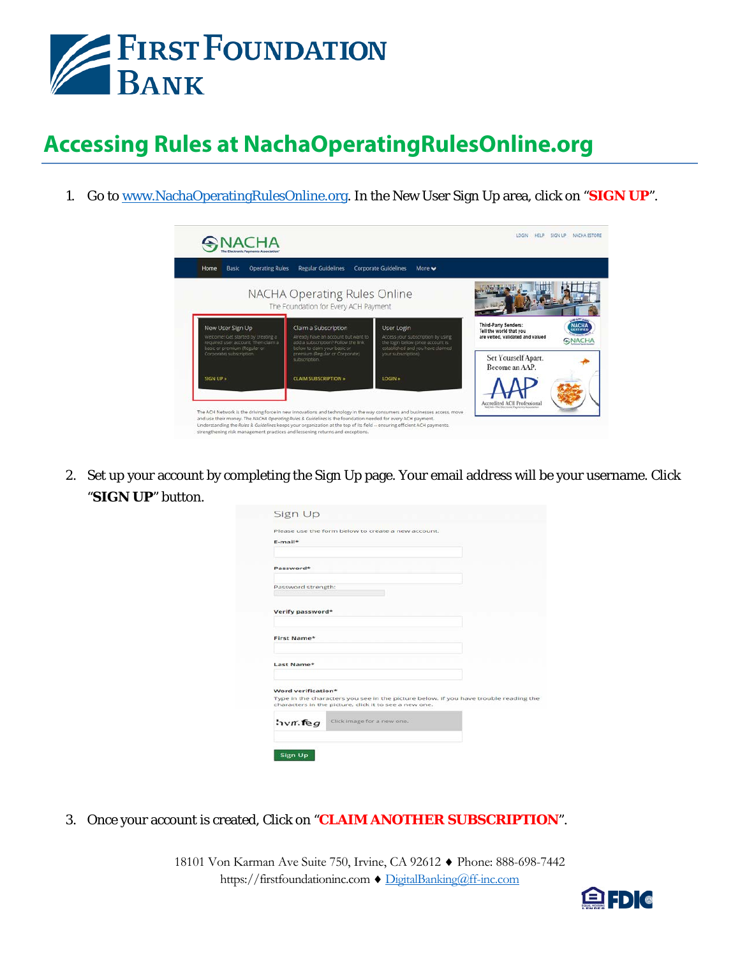

## **Accessing Rules at NachaOperatingRulesOnline.org**

1. Go to [www.NachaOperatingRulesOnline.org.](http://www.nachaoperatingrulesonline.org/) In the New User Sign Up area, click on "**SIGN UP**".



2. Set up your account by completing the Sign Up page. Your email address will be your username. Click "**SIGN UP**" button.

| $E$ -mail*             |                                                                                                                                               |
|------------------------|-----------------------------------------------------------------------------------------------------------------------------------------------|
|                        |                                                                                                                                               |
| Password*              |                                                                                                                                               |
| Password strength:     |                                                                                                                                               |
| Verify password*       |                                                                                                                                               |
|                        |                                                                                                                                               |
| First Name*            |                                                                                                                                               |
| Last Name*             |                                                                                                                                               |
| Word verification*     |                                                                                                                                               |
|                        | Type in the characters you see in the picture below. If you have trouble reading the<br>characters in the picture, click it to see a new one. |
| $i$ <sub>vn</sub> .feg | Click image for a new one.                                                                                                                    |

3. Once your account is created, Click on "**CLAIM ANOTHER SUBSCRIPTION**".

18101 Von Karman Ave Suite 750, Irvine, CA 92612 ♦ Phone: 888-698-7442 https://firstfoundationinc.com ♦ [DigitalBanking@ff-inc.com](mailto:DigitalBanking@ff-inc.com)